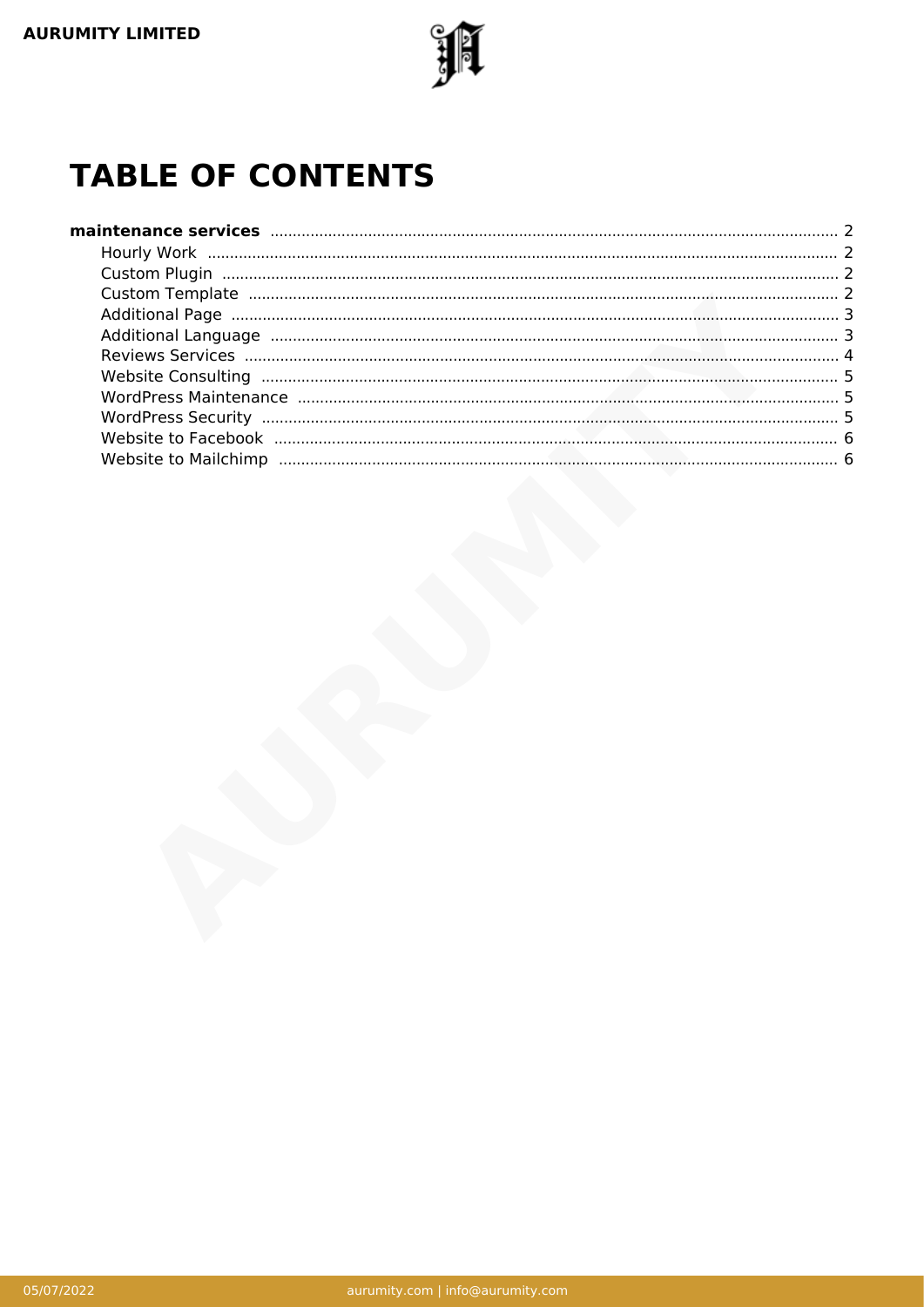

# **TABLE OF CONTENTS**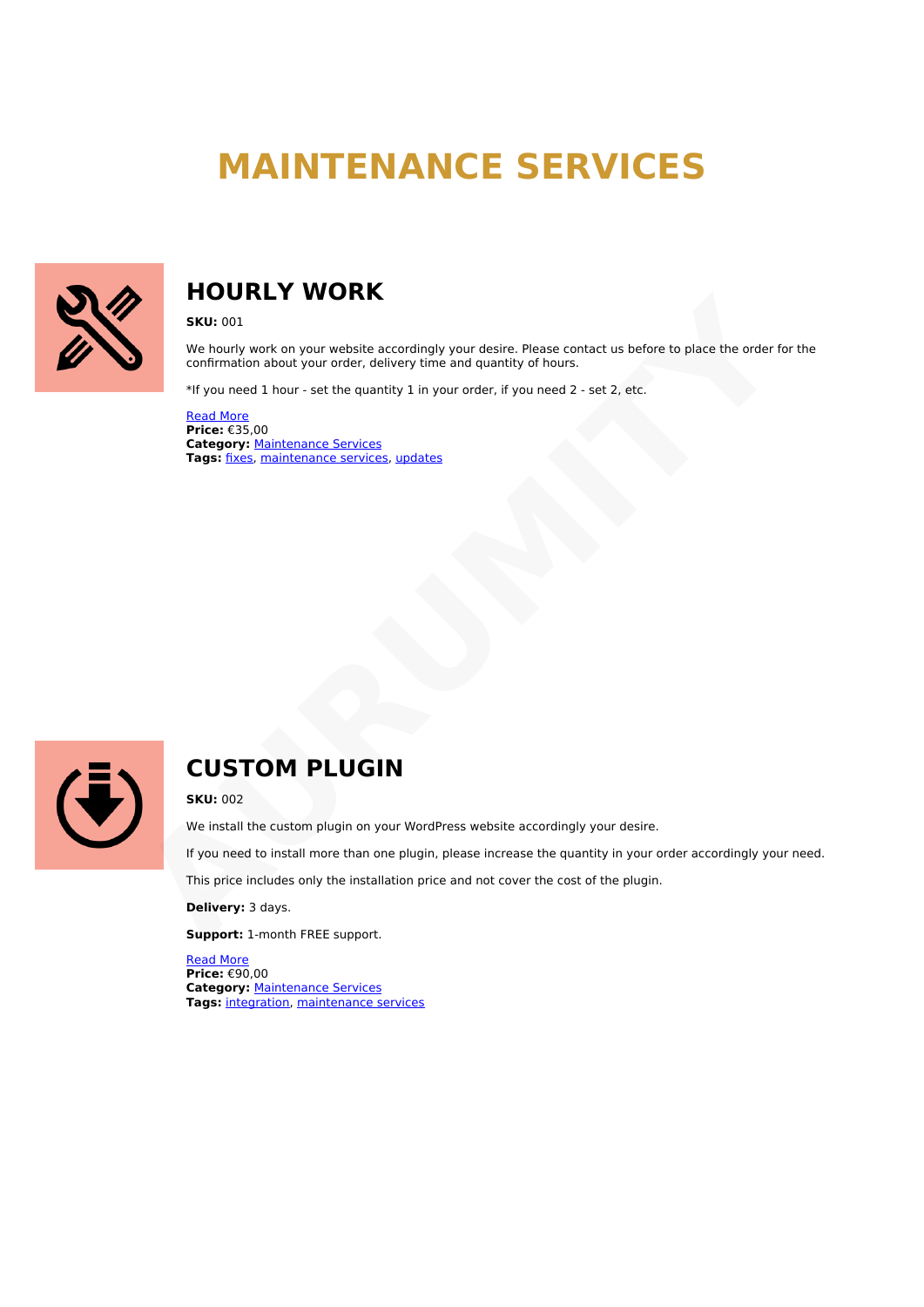# **MAINTENANCE SERVICES**

<span id="page-1-1"></span><span id="page-1-0"></span>

# **HOURLY WORK**

**SKU:** 001

We hourly work on your website accordingly your desire. Please contact us before to place the order for the confirmation about your order, delivery time and quantity of hours. **[A](https://aurumity.com/product/custom-plugin/?utm_source=file&utm_medium=PDF&utm_campaign=maintenance-services&utm_term=Custom+Plugin)NUS ON THE MUNITY WORKS**<br>
SEND TO NOTE A MONOR WANT WORK ON YOU WESTED AND MELT WORK CONTINUES TO NOTE THAT CONTINUES TO A MONOR THAT WE ARREST TO A THAT WE ARREST TO A THE MUNITY OF THE CHAPT CASE TO THE CHAPT CASE OF T

\*If you need 1 hour - set the quantity 1 in your order, if you need 2 - set 2, etc.

Read More **Price:** €35,00 **Category:** Maintenance Services **Tags:** fixes, maintenance services, updates

<span id="page-1-2"></span>

# **CUSTOM PLUGIN**

**SKU:** 002

We install the custom plugin on your WordPress website accordingly your desire.

If you need to install more than one plugin, please increase the quantity in your order accordingly your need.

This price includes only the installation price and not cover the cost of the plugin.

**Delivery:** 3 days.

**Support:** 1-month FREE support.

<span id="page-1-3"></span>[Read More](https://aurumity.com/product/custom-plugin/?utm_source=file&utm_medium=PDF&utm_campaign=maintenance-services&utm_term=Custom+Plugin) **Price:** €90,00 **Category:** [Maintenance Services](https://aurumity.com/product-category/maintenance-services/) **Tags:** [integration,](https://aurumity.com/product-tag/integration/) [maintenance services](https://aurumity.com/product-tag/maintenance-services/)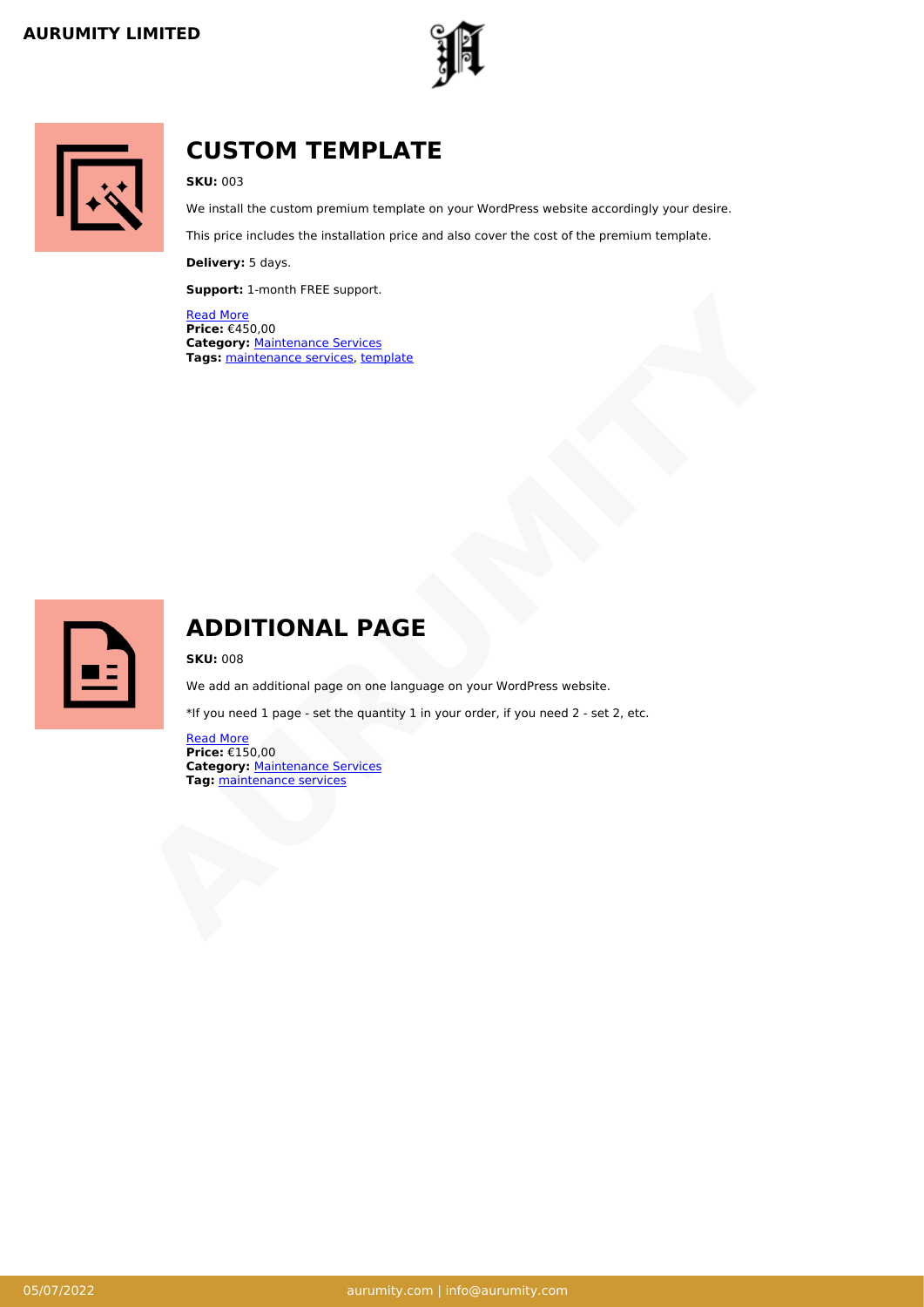



# **CUSTOM TEMPLATE**

### **SKU:** 003

We install the custom premium template on your WordPress website accordingly your desire.

This price includes the installation price and also cover the cost of the premium template.

**Delivery:** 5 days.

**Support:** 1-month FREE support.

Read More **Price:** €450,00 **Category:** Maintenance Services **Tags:** maintenance services, template **Tage:** (450,00)<br> **Tage:** (450,00)<br> **Tage:** maintenance services, template<br> **Tags:** maintenance services, template<br> **Tags:** maintenance services, template<br> **Tags:** maintenance services are the quantity 1 in your order, if

<span id="page-2-0"></span>

# **ADDITIONAL PAGE**

**SKU:** 008

We add an additional page on one language on your WordPress website.

\*If you need 1 page - set the quantity 1 in your order, if you need 2 - set 2, etc.

<span id="page-2-1"></span>Read More **Price:** €150,00 **Category: Maintenance Services Tag: maintenance services**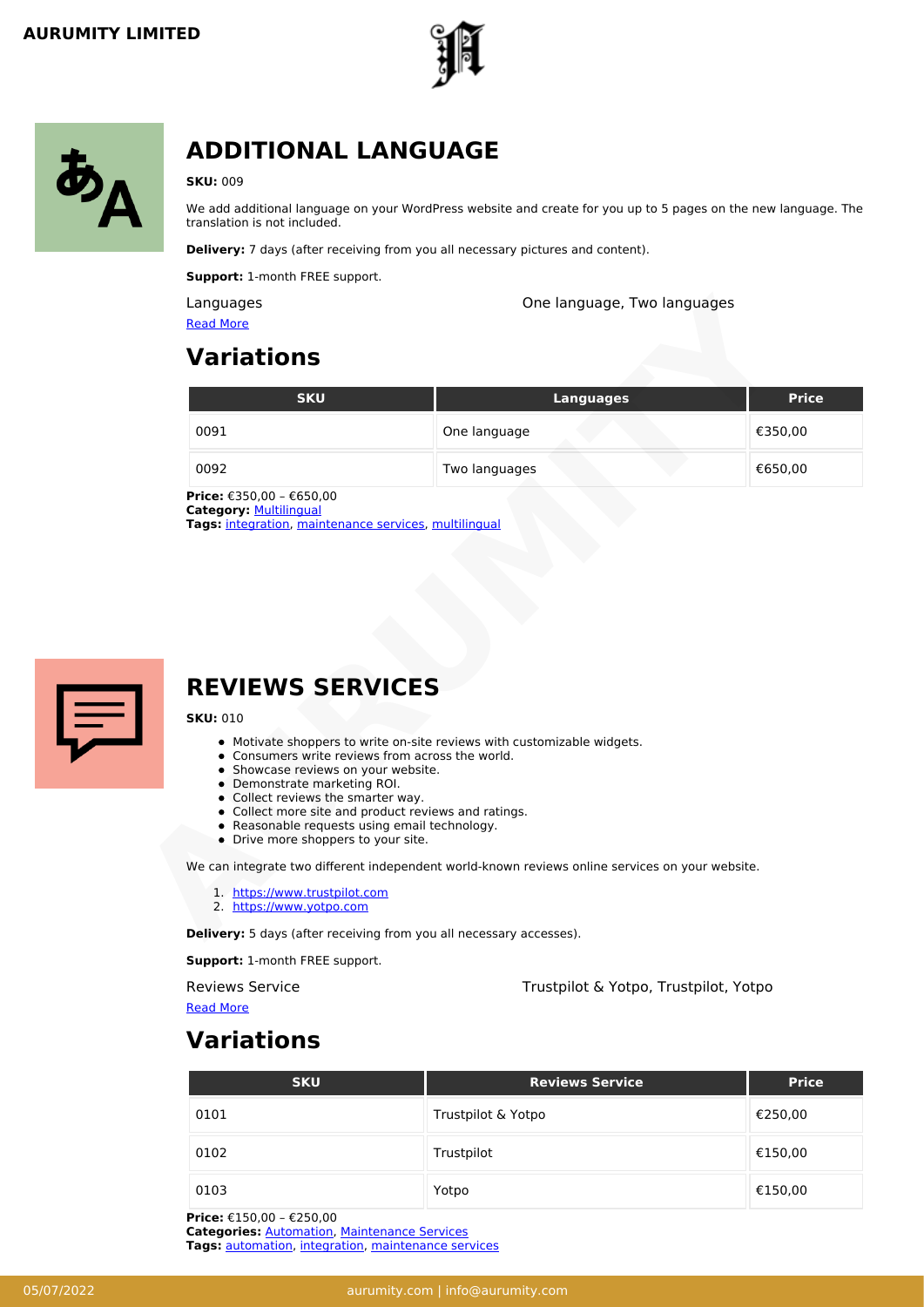



# **ADDITIONAL LANGUAGE**

### **SKU:** 009

We add additional language on your WordPress website and create for you up to 5 pages on the new language. The translation is not included.

**Delivery:** 7 days (after receiving from you all necessary pictures and content).

**Support:** 1-month FREE support.

| <b>SKU</b>                                                                             | <b>Languages</b> | <b>Price</b> |
|----------------------------------------------------------------------------------------|------------------|--------------|
| 0091                                                                                   | One language     | €350,00      |
| 0092                                                                                   | Two languages    | €650,00      |
| <b>Category: Multilingual</b><br>Tags: integration, maintenance services, multilingual |                  |              |
| <b>REVIEWS SERVICES</b><br><b>SKU: 010</b>                                             |                  |              |

<span id="page-3-0"></span>

# **REVIEWS SERVICES**

### **SKU:** 010

- Motivate shoppers to write on-site reviews with customizable widgets.
- Consumers write reviews from across the world.
- Showcase reviews on your website.
- Demonstrate marketing ROI.
- Collect reviews the smarter way.
- Collect more site and product reviews and ratings.
- Reasonable requests using email technology.
- Drive more shoppers to your site.

- 1. https://www.trustpilot.com
- 2. https://www.yotpo.com

**Support:** 1-month FREE support.

Reviews Service Trustpilot & Yotpo, Trustpilot, Yotpo

[Read More](https://aurumity.com/product/reviews-services/?utm_source=file&utm_medium=PDF&utm_campaign=maintenance-services&utm_term=Reviews+Services)

# **Variations**

| <b>SKU</b> | <b>Reviews Service</b> | <b>Price</b> |
|------------|------------------------|--------------|
| 0101       | Trustpilot & Yotpo     | €250,00      |
| 0102       | Trustpilot             | €150,00      |
| 0103       | Yotpo                  | €150,00      |

**Price:** €150,00 – €250,00

**Categories:** [Automation,](https://aurumity.com/product-category/automation/) [Maintenance Services](https://aurumity.com/product-category/maintenance-services/) **Tags:** [automation,](https://aurumity.com/product-tag/automation/) [integration,](https://aurumity.com/product-tag/integration/) [maintenance services](https://aurumity.com/product-tag/maintenance-services/)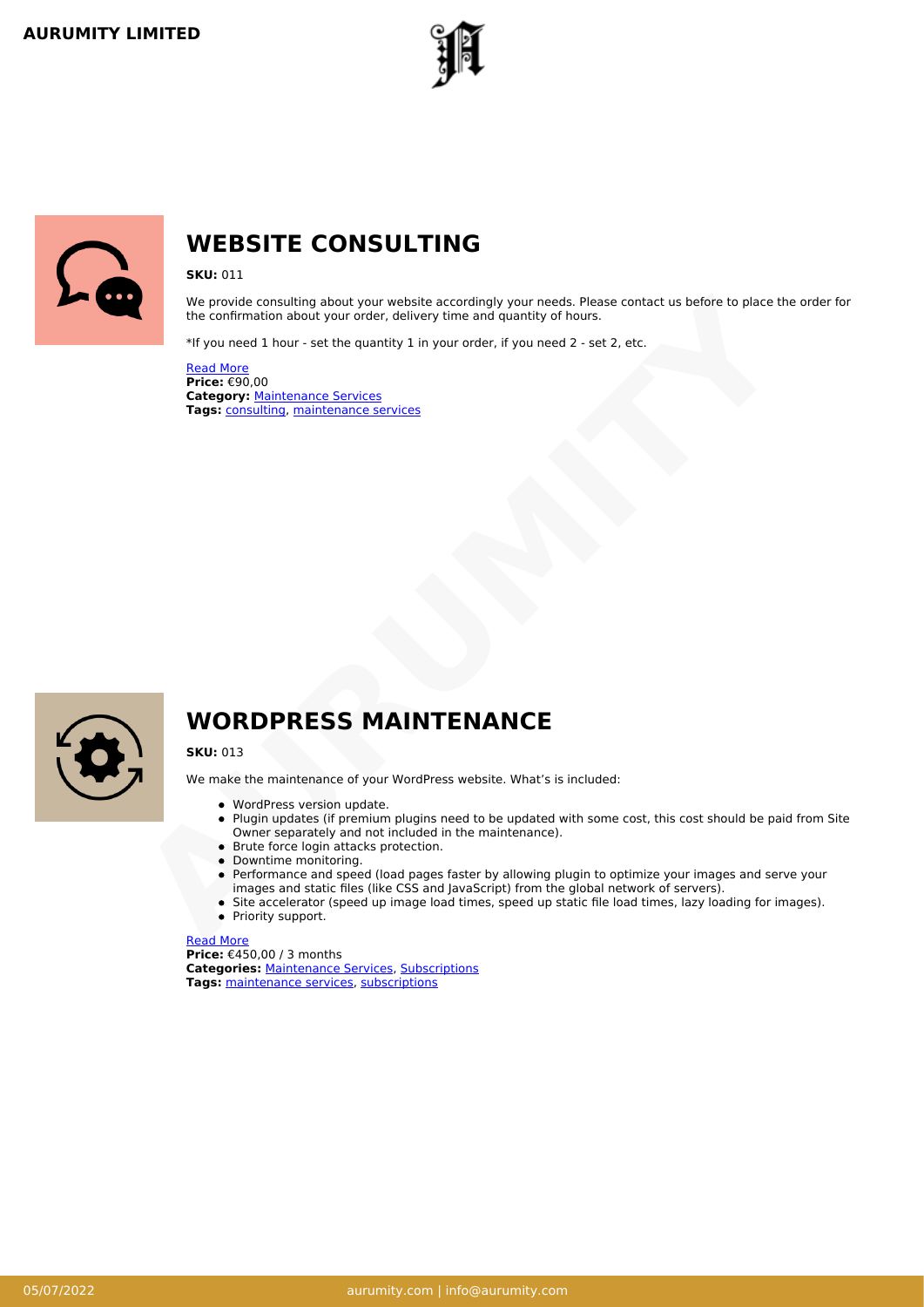

<span id="page-4-0"></span>

# **WEBSITE CONSULTING**

### **SKU:** 011

We provide consulting about your website accordingly your needs. Please contact us before to place the order for the confirmation about your order, delivery time and quantity of hours. We provide consulting about your webster accordingly your needs. Please contact us before to place the or<br>
the confirmation about your order, disluesy time and quantity of hours.<br>
They were dislues and the stress of the st

\*If you need 1 hour - set the quantity 1 in your order, if you need 2 - set 2, etc.

Read More **Price:** €90,00 **Category:** Maintenance Services **Tags:** consulting, maintenance services

<span id="page-4-1"></span>

### **WORDPRESS MAINTENANCE**

### **SKU:** 013

We make the maintenance of your WordPress website. What's is included:

- WordPress version update.
- Plugin updates (if premium plugins need to be updated with some cost, this cost should be paid from Site Owner separately and not included in the maintenance).
- Brute force login attacks protection.
- Downtime monitoring.
- Performance and speed (load pages faster by allowing plugin to optimize your images and serve your images and static files (like CSS and JavaScript) from the global network of servers).
- Site accelerator (speed up image load times, speed up static file load times, lazy loading for images).
- Priority support.

### [Read More](https://aurumity.com/product/wordpress-maintenance/?utm_source=file&utm_medium=PDF&utm_campaign=maintenance-services&utm_term=WordPress+Maintenance)

<span id="page-4-2"></span>**Price:** €450,00 / 3 months **Categories:** [Maintenance Services](https://aurumity.com/product-category/maintenance-services/), [Subscriptions](https://aurumity.com/product-category/subscriptions/) **Tags:** [maintenance services,](https://aurumity.com/product-tag/maintenance-services/) [subscriptions](https://aurumity.com/product-tag/subscriptions/)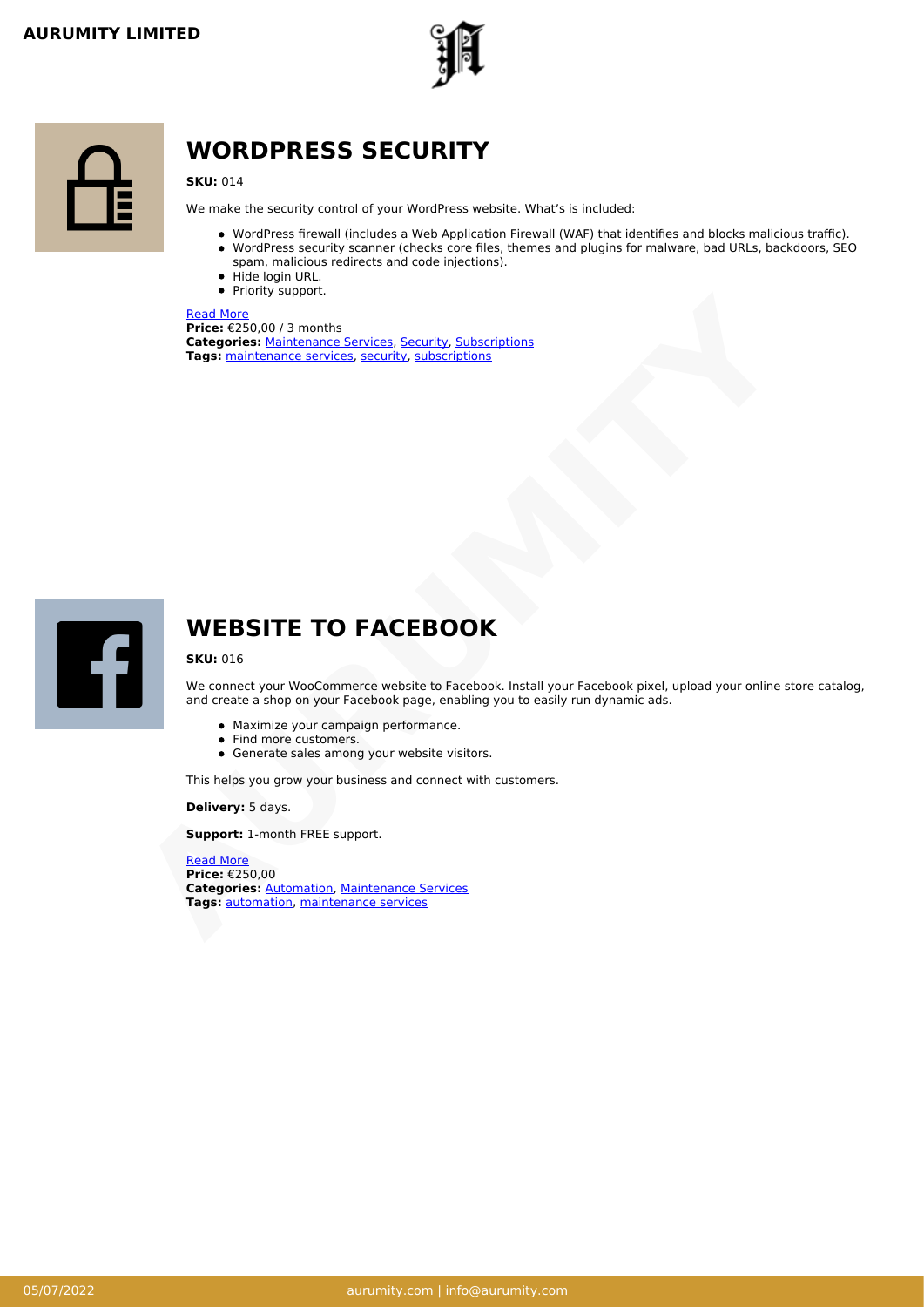



## **WORDPRESS SECURITY**

**SKU:** 014

We make the security control of your WordPress website. What's is included:

- WordPress firewall (includes a Web Application Firewall (WAF) that identifies and blocks malicious traffic).
- WordPress security scanner (checks core files, themes and plugins for malware, bad URLs, backdoors, SEO spam, malicious redirects and code injections).
- Hide login URL. • Priority support.

### Read More

**Price:** €250,00 / 3 months **Categories:** Maintenance Services, Security, Subscriptions **Tags:** maintenance services, security, subscriptions

<span id="page-5-0"></span>

### **WEBSITE TO FACEBOOK**

### **SKU:** 016

We connect your WooCommerce website to Facebook. Install your Facebook pixel, upload your online store catalog, and create a shop on your Facebook page, enabling you to easily run dynamic ads. **Tage:**<br> **Tage:**<br> **Tage:**<br> **Tage:**<br> **Tage:**<br> **Tage:**<br> **Tage:**<br> **Tage:**<br> **Tage:**<br> **Tage:**<br> **Tage:**<br> **Tage:**<br> **Tage:**<br> **Tage:**<br> **Tage:**<br> **WEBSITE TO FACEBOOK**<br> **SW:**<br> **Tage:**<br> **WEBSITE TO FACEBOOK**<br> **SW:**<br> **TAGE:**<br> **TAGE:**<br>

- Maximize your campaign performance.
- Find more customers.
- Generate sales among your website visitors.

This helps you grow your business and connect with customers.

**Delivery:** 5 days.

**Support:** 1-month FREE support.

<span id="page-5-1"></span>Read More **Price:** €250,00 **Categories:** Automation, Maintenance Services